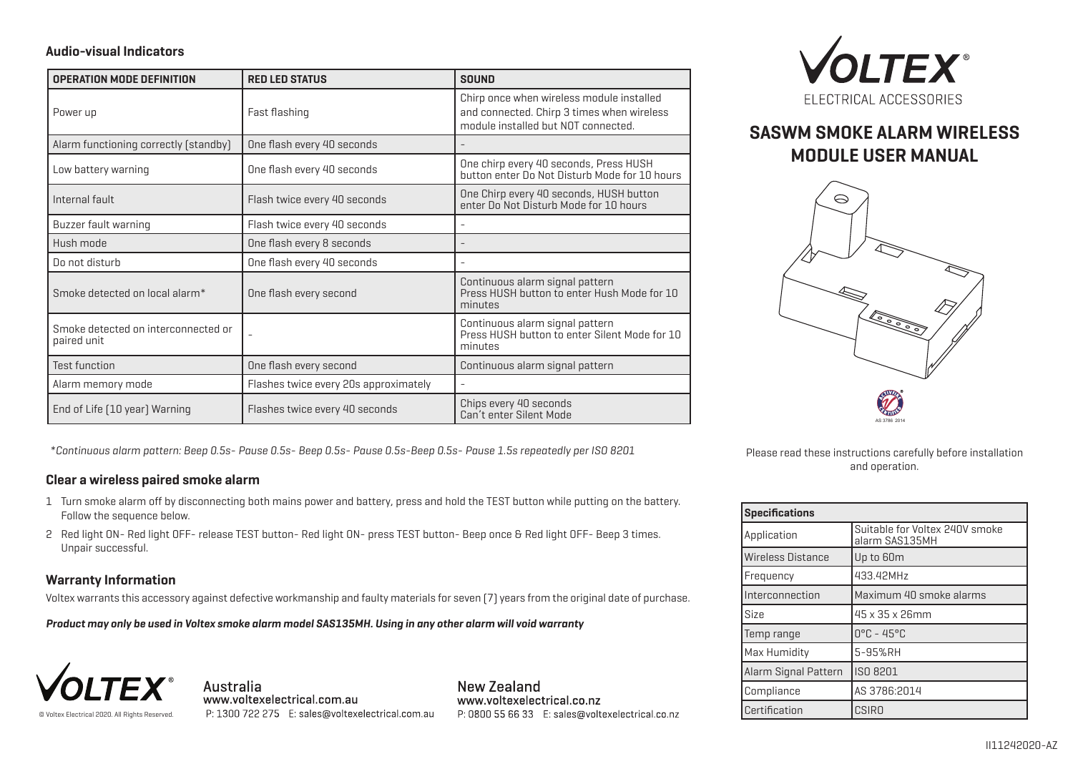## **Audio-visual Indicators**

| <b>OPERATION MODE DEFINITION</b>                   | <b>RED LED STATUS</b>                 | <b>SOUND</b>                                                                                                                   |
|----------------------------------------------------|---------------------------------------|--------------------------------------------------------------------------------------------------------------------------------|
| Power up                                           | Fast flashing                         | Chirp once when wireless module installed<br>and connected. Chirp 3 times when wireless<br>module installed but NOT connected. |
| Alarm functioning correctly (standby)              | One flash every 40 seconds            |                                                                                                                                |
| Low battery warning                                | One flash every 40 seconds            | One chirp every 40 seconds, Press HUSH<br>button enter Do Not Disturb Mode for 10 hours                                        |
| Internal fault                                     | Flash twice every 40 seconds          | One Chirp every 40 seconds, HUSH button<br>enter Do Not Disturb Mode for 10 hours                                              |
| Buzzer fault warning                               | Flash twice every 40 seconds          |                                                                                                                                |
| Hush mode                                          | One flash every 8 seconds             |                                                                                                                                |
| Do not disturb                                     | One flash every 40 seconds            |                                                                                                                                |
| Smoke detected on local alarm*                     | One flash every second                | Continuous alarm signal pattern<br>Press HUSH button to enter Hush Mode for 10<br>minutes                                      |
| Smoke detected on interconnected or<br>paired unit |                                       | Continuous alarm signal pattern<br>Press HUSH button to enter Silent Mode for 10<br>minutes                                    |
| <b>Test function</b>                               | One flash every second                | Continuous alarm signal pattern                                                                                                |
| Alarm memory mode                                  | Flashes twice every 20s approximately | ÷                                                                                                                              |
| End of Life [10 year] Warning                      | Flashes twice every 40 seconds        | Chips every 40 seconds<br>Can't enter Silent Mode                                                                              |

*\*Continuous alarm pattern: Beep 0.5s- Pause 0.5s- Beep 0.5s- Pause 0.5s-Beep 0.5s- Pause 1.5s repeatedly per ISO 8201*

# **Clear a wireless paired smoke alarm**

- Turn smoke alarm off by disconnecting both mains power and battery, press and hold the TEST button while putting on the battery. 1 Follow the sequence below.
- 2 Red light ON- Red light OFF- release TEST button- Red light ON- press TEST button- Beep once & Red light OFF- Beep 3 times. Unpair successful.

## **Warranty Information**

Voltex warrants this accessory against defective workmanship and faulty materials for seven (7) years from the original date of purchase.

*Product may only be used in Voltex smoke alarm model SAS135MH. Using in any other alarm will void warranty*



Australia www.voltexelectrical.com.au P: 1300 722 275 E: sales@voltexelectrical.com.au New Zealand www.voltexelectrical.co.nz P: 0800 55 66 33 E: sales@voltexelectrical.co.nz



# **SASWM SMOKE ALARM WIRELESS MODULE USER MANUAL**



Please read these instructions carefully before installation and operation.

| <b>Specifications</b>    |                                                  |  |
|--------------------------|--------------------------------------------------|--|
| Application              | Suitable for Voltex 240V smoke<br>alarm SAS135MH |  |
| <b>Wireless Distance</b> | Up to 60m                                        |  |
| Frequency                | 433.42MHz                                        |  |
| Interconnection          | Maximum 40 smoke alarms                          |  |
| Size                     | 45 x 35 x 26mm                                   |  |
| Temp range               | $0^{\circ}$ C - 45°C                             |  |
| Max Humidity             | 5-95%RH                                          |  |
| Alarm Signal Pattern     | ISO 8201                                         |  |
| Compliance               | AS 3786:2014                                     |  |
| Certification            | <b>CSIRO</b>                                     |  |